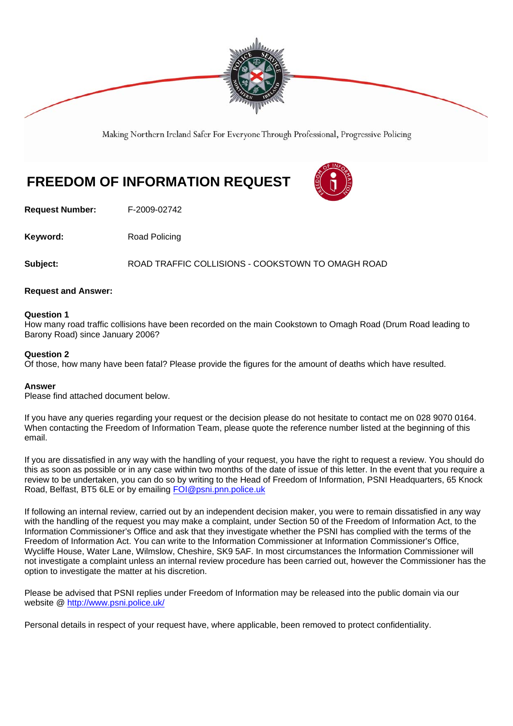

Making Northern Ireland Safer For Everyone Through Professional, Progressive Policing

# **FREEDOM OF INFORMATION REQUEST**



**Request Number:** F-2009-02742

**Keyword:** Road Policing

**Subject:** ROAD TRAFFIC COLLISIONS - COOKSTOWN TO OMAGH ROAD

### **Request and Answer:**

### **Question 1**

How many road traffic collisions have been recorded on the main Cookstown to Omagh Road (Drum Road leading to Barony Road) since January 2006?

### **Question 2**

Of those, how many have been fatal? Please provide the figures for the amount of deaths which have resulted.

### **Answer**

Please find attached document below.

If you have any queries regarding your request or the decision please do not hesitate to contact me on 028 9070 0164. When contacting the Freedom of Information Team, please quote the reference number listed at the beginning of this email.

If you are dissatisfied in any way with the handling of your request, you have the right to request a review. You should do this as soon as possible or in any case within two months of the date of issue of this letter. In the event that you require a review to be undertaken, you can do so by writing to the Head of Freedom of Information, PSNI Headquarters, 65 Knock Road, Belfast, BT5 6LE or by emailing FOI@psni.pnn.police.uk

If following an internal review, carried out by an independent decision maker, you were to remain dissatisfied in any way with the handling of the request you may make a complaint, under Section 50 of the Freedom of Information Act, to the Information Commissioner's Office and ask that they investigate whether the PSNI has complied with the terms of the Freedom of Information Act. You can write to the Information Commissioner at Information Commissioner's Office, Wycliffe House, Water Lane, Wilmslow, Cheshire, SK9 5AF. In most circumstances the Information Commissioner will not investigate a complaint unless an internal review procedure has been carried out, however the Commissioner has the option to investigate the matter at his discretion.

Please be advised that PSNI replies under Freedom of Information may be released into the public domain via our website @ http://www.psni.police.uk/

Personal details in respect of your request have, where applicable, been removed to protect confidentiality.